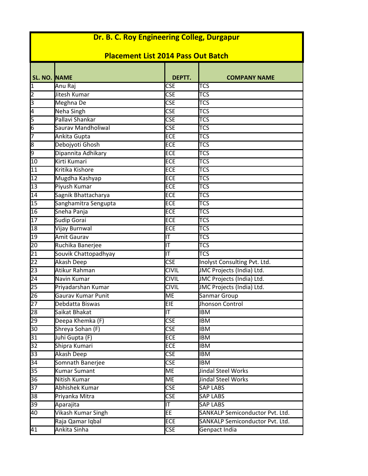| Dr. B. C. Roy Engineering Colleg, Durgapur<br><b>Placement List 2014 Pass Out Batch</b> |                      |                         |                                 |  |  |  |
|-----------------------------------------------------------------------------------------|----------------------|-------------------------|---------------------------------|--|--|--|
|                                                                                         |                      |                         |                                 |  |  |  |
| SL. NO. NAME                                                                            |                      | DEPTT.                  | <b>COMPANY NAME</b>             |  |  |  |
| $\mathbf{1}$                                                                            | Anu Raj              | <b>CSE</b>              | TCS                             |  |  |  |
| $\overline{2}$                                                                          | Jitesh Kumar         | CSE                     | <b>TCS</b>                      |  |  |  |
| $\overline{\mathsf{3}}$                                                                 | Meghna De            | <b>CSE</b>              | <b>TCS</b>                      |  |  |  |
| $\overline{4}$                                                                          | <b>Neha Singh</b>    | <b>CSE</b>              | <b>TCS</b>                      |  |  |  |
| 5                                                                                       | Pallavi Shankar      | <b>CSE</b>              | <b>TCS</b>                      |  |  |  |
| $\overline{6}$                                                                          | Saurav Mandholiwal   | <b>CSE</b>              | <b>TCS</b>                      |  |  |  |
| 7                                                                                       | Ankita Gupta         | <b>ECE</b>              | <b>TCS</b>                      |  |  |  |
| 8                                                                                       | Debojyoti Ghosh      | <b>ECE</b>              | <b>TCS</b>                      |  |  |  |
| 9                                                                                       | Dipannita Adhikary   | <b>ECE</b>              | <b>TCS</b>                      |  |  |  |
| 10                                                                                      | Kirti Kumari         | <b>ECE</b>              | <b>TCS</b>                      |  |  |  |
| 11                                                                                      | Kritika Kishore      | <b>ECE</b>              | <b>TCS</b>                      |  |  |  |
| $\overline{12}$                                                                         | Mugdha Kashyap       | <b>ECE</b>              | <b>TCS</b>                      |  |  |  |
| 13                                                                                      | Piyush Kumar         | <b>ECE</b>              | <b>TCS</b>                      |  |  |  |
| $\overline{14}$                                                                         | Sagnik Bhattacharya  | ECE                     | <b>TCS</b>                      |  |  |  |
| $\overline{15}$                                                                         | Sanghamitra Sengupta | <b>ECE</b>              | <b>TCS</b>                      |  |  |  |
| 16                                                                                      | Sneha Panja          | <b>ECE</b>              | <b>TCS</b>                      |  |  |  |
| 17                                                                                      | Sudip Gorai          | <b>ECE</b>              | <b>TCS</b>                      |  |  |  |
| 18                                                                                      | Vijay Burnwal        | <b>ECE</b>              | <b>TCS</b>                      |  |  |  |
| 19                                                                                      | Amit Gaurav          | IΤ                      | <b>TCS</b>                      |  |  |  |
| 20                                                                                      | Ruchika Banerjee     | lıт                     | <b>TCS</b>                      |  |  |  |
| $\overline{21}$                                                                         | Souvik Chattopadhyay | ΙT                      | <b>TCS</b>                      |  |  |  |
| $\overline{22}$                                                                         | Akash Deep           | <b>CSE</b>              | Inolyst Consulting Pvt. Ltd.    |  |  |  |
| $\overline{23}$                                                                         | Atikur Rahman        | <b>CIVIL</b>            | JMC Projects (India) Ltd.       |  |  |  |
| $\overline{24}$                                                                         | Navin Kumar          | <b>CIVIL</b>            | JMC Projects (India) Ltd.       |  |  |  |
| $\overline{25}$                                                                         | Priyadarshan Kumar   | <b>CIVIL</b>            | JMC Projects (India) Ltd.       |  |  |  |
| $\overline{26}$                                                                         | Gaurav Kumar Punit   | ME                      | Sanmar Group                    |  |  |  |
| 27                                                                                      | Debdatta Biswas      | EIE                     | Jhonson Control                 |  |  |  |
| $\overline{28}$                                                                         | Saikat Bhakat        | ΙT                      | IBM                             |  |  |  |
| $\overline{29}$                                                                         | Deepa Khemka (F)     | <b>CSE</b>              | <b>IBM</b>                      |  |  |  |
| 30                                                                                      | Shreya Sohan (F)     | <b>CSE</b>              | <b>IBM</b>                      |  |  |  |
| 31                                                                                      | Juhi Gupta (F)       | <b>ECE</b>              | IBM                             |  |  |  |
| $\overline{32}$                                                                         | Shipra Kumari        | <b>ECE</b>              | <b>IBM</b>                      |  |  |  |
| $\overline{33}$                                                                         | Akash Deep           | <b>CSE</b>              | <b>IBM</b>                      |  |  |  |
| $\overline{34}$                                                                         | Somnath Banerjee     | $\overline{\text{CSE}}$ | IBM                             |  |  |  |
| $\overline{35}$                                                                         | <b>Kumar Sumant</b>  | ME                      | Jindal Steel Works              |  |  |  |
| 36                                                                                      | Nitish Kumar         | <b>ME</b>               | Jindal Steel Works              |  |  |  |
| $\overline{37}$                                                                         | Abhishek Kumar       | <b>CSE</b>              | <b>SAP LABS</b>                 |  |  |  |
| 38                                                                                      | Priyanka Mitra       | <b>CSE</b>              | <b>SAP LABS</b>                 |  |  |  |
| $\overline{39}$                                                                         | Aparajita            | $ \mathsf{T} $          | <b>SAP LABS</b>                 |  |  |  |
| 40                                                                                      | Vikash Kumar Singh   | EE                      | SANKALP Semiconductor Pvt. Ltd. |  |  |  |
|                                                                                         | Raja Qamar Iqbal     | <b>ECE</b>              | SANKALP Semiconductor Pvt. Ltd. |  |  |  |
| 41                                                                                      | Ankita Sinha         | <b>CSE</b>              | Genpact India                   |  |  |  |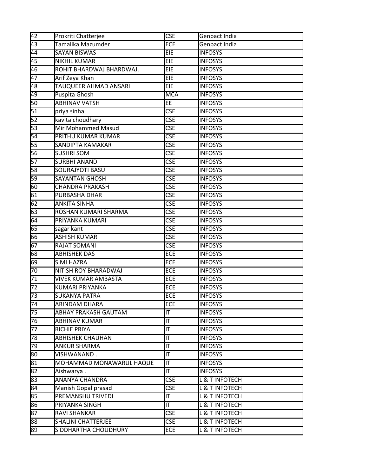| 42              | Prokriti Chatterjee          | <b>CSE</b>              | Genpact India             |
|-----------------|------------------------------|-------------------------|---------------------------|
| $\overline{43}$ | Tamalika Mazumder            | <b>ECE</b>              | <b>Genpact India</b>      |
| $\overline{44}$ | <b>SAYAN BISWAS</b>          | <b>EIE</b>              | <b>INFOSYS</b>            |
| $\overline{45}$ | <b>NIKHIL KUMAR</b>          | EIE                     | <b>INFOSYS</b>            |
| 46              | ROHIT BHARDWAJ BHARDWAJ.     | EIE                     | <b>INFOSYS</b>            |
| $\overline{47}$ | Arif Zeya Khan               | EIE                     | <b>INFOSYS</b>            |
| 48              | <b>TAUQUEER AHMAD ANSARI</b> | <b>EIE</b>              | <b>INFOSYS</b>            |
| 49              | Puspita Ghosh                | MCA                     | <b>INFOSYS</b>            |
| 50              | <b>ABHINAV VATSH</b>         | EE                      | <b>INFOSYS</b>            |
| $\overline{51}$ | priya sinha                  | <b>CSE</b>              | <b>INFOSYS</b>            |
| 52              | kavita choudhary             | <b>CSE</b>              | <b>INFOSYS</b>            |
| 53              | Mir Mohammed Masud           | <b>CSE</b>              | <b>INFOSYS</b>            |
| 54              | PRITHU KUMAR KUMAR           | $\overline{\text{CSE}}$ | <b>INFOSYS</b>            |
| 55              | SANDIPTA KAMAKAR             | <b>CSE</b>              | <b>INFOSYS</b>            |
| 56              | <b>SUSHRI SOM</b>            | <b>CSE</b>              | <b>INFOSYS</b>            |
| 57              | <b>SURBHI ANAND</b>          | <b>CSE</b>              | <b>INFOSYS</b>            |
| 58              | <b>SOURAJYOTI BASU</b>       | <b>CSE</b>              | <b>INFOSYS</b>            |
| 59              | <b>SAYANTAN GHOSH</b>        | <b>CSE</b>              | <b>INFOSYS</b>            |
| 60              | <b>CHANDRA PRAKASH</b>       | <b>CSE</b>              | <b>INFOSYS</b>            |
| 61              | PURBASHA DHAR                | <b>CSE</b>              | <b>INFOSYS</b>            |
| 62              | <b>ANKITA SINHA</b>          | <b>CSE</b>              | <b>INFOSYS</b>            |
| 63              | ROSHAN KUMARI SHARMA         | <b>CSE</b>              | <b>INFOSYS</b>            |
| 64              | PRIYANKA KUMARI              | <b>CSE</b>              | <b>INFOSYS</b>            |
| 65              | sagar kant                   | <b>CSE</b>              | <b>INFOSYS</b>            |
| 66              | <b>ASHISH KUMAR</b>          | <b>CSE</b>              | <b>INFOSYS</b>            |
| 67              | <b>RAJAT SOMANI</b>          | <b>CSE</b>              | <b>INFOSYS</b>            |
| 68              | <b>ABHISHEK DAS</b>          | <b>ECE</b>              | <b>INFOSYS</b>            |
| 69              | SIMI HAZRA                   | <b>ECE</b>              | <b>INFOSYS</b>            |
| $\overline{70}$ | NITISH ROY BHARADWAJ         | <b>ECE</b>              | <b>INFOSYS</b>            |
| $\overline{71}$ | <b>VIVEK KUMAR AMBASTA</b>   | <b>ECE</b>              | <b>INFOSYS</b>            |
| 72              | KUMARI PRIYANKA              | <b>ECE</b>              | <b>INFOSYS</b>            |
| 73              | <b>SUKANYA PATRA</b>         | <b>ECE</b>              | <b>INFOSYS</b>            |
| 74              | ARINDAM DHARA                | ECE                     | <b>I</b> INFOSYS          |
| 75              | <b>ABHAY PRAKASH GAUTAM</b>  | llТ                     | <b>INFOSYS</b>            |
| 76              | <b>ABHINAV KUMAR</b>         | llТ                     | <b>INFOSYS</b>            |
| 77              | RICHIE PRIYA                 | İΙT                     | <b>INFOSYS</b>            |
| 78              | <b>ABHISHEK CHAUHAN</b>      | lıт                     | <b>INFOSYS</b>            |
| 79              | <b>ANKUR SHARMA</b>          | llТ                     | <b>INFOSYS</b>            |
| 80              | VISHWANAND.                  | IT                      | <b>INFOSYS</b>            |
| 81              | MOHAMMAD MONAWARUL HAQUE     | lıт                     | <b>INFOSYS</b>            |
| 82              | Aishwarya.                   | IТ                      | <b>INFOSYS</b>            |
| 83              | <b>ANANYA CHANDRA</b>        | <b>CSE</b>              | L & T INFOTECH            |
| 84              | Manish Gopal prasad          | <b>CSE</b>              | L & T INFOTECH            |
| 85              | <b>PREMANSHU TRIVEDI</b>     | IΤ                      | <b>L &amp; T INFOTECH</b> |
| 86              | PRIYANKA SINGH               | IT.                     | L & T INFOTECH            |
| 87              | RAVI SHANKAR                 | <b>CSE</b>              | L & T INFOTECH            |
| 88              | <b>SHALINI CHATTERJEE</b>    | <b>CSE</b>              | <b>L &amp; T INFOTECH</b> |
| 89              | SIDDHARTHA CHOUDHURY         | <b>ECE</b>              | L & T INFOTECH            |